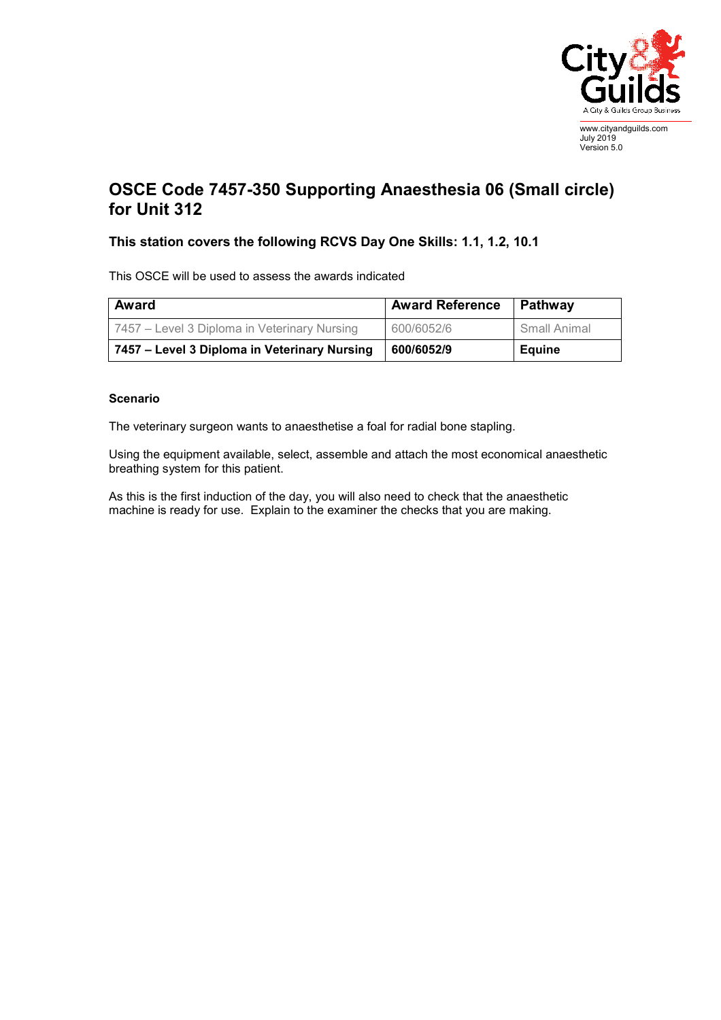

July 2019 Version 5.0

## **OSCE Code 7457-350 Supporting Anaesthesia 06 (Small circle) for Unit 312**

## **This station covers the following RCVS Day One Skills: 1.1, 1.2, 10.1**

This OSCE will be used to assess the awards indicated

| Award                                        | <b>Award Reference</b> | Pathway       |
|----------------------------------------------|------------------------|---------------|
| 7457 – Level 3 Diploma in Veterinary Nursing | 600/6052/6             | Small Animal  |
| 7457 - Level 3 Diploma in Veterinary Nursing | 600/6052/9             | <b>Equine</b> |

## **Scenario**

The veterinary surgeon wants to anaesthetise a foal for radial bone stapling.

Using the equipment available, select, assemble and attach the most economical anaesthetic breathing system for this patient.

As this is the first induction of the day, you will also need to check that the anaesthetic machine is ready for use. Explain to the examiner the checks that you are making.